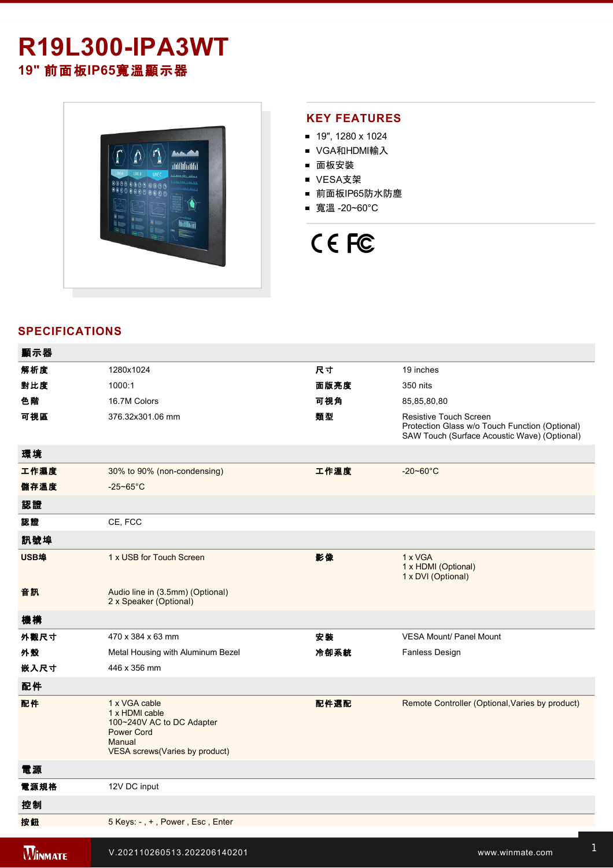# **R19L300-IPA3WT 19"** 前面板**IP65**寬溫顯示器



## **KEY FEATURES**

- 19", 1280 x 1024
- VGA和HDMI輸入
- 面板安裝
- VESA支架
- 前面板IP65防水防塵
- 寬溫 -20~60°C



# **SPECIFICATIONS**

| 顯示器            |                                                                                                                                |      |                                                                                                                          |
|----------------|--------------------------------------------------------------------------------------------------------------------------------|------|--------------------------------------------------------------------------------------------------------------------------|
| 解析度            | 1280x1024                                                                                                                      | 尺寸   | 19 inches                                                                                                                |
| 對比度            | 1000:1                                                                                                                         | 面版亮度 | 350 nits                                                                                                                 |
| 色階             | 16.7M Colors                                                                                                                   | 可視角  | 85,85,80,80                                                                                                              |
| 可視區            | 376.32x301.06 mm                                                                                                               | 類型   | Resistive Touch Screen<br>Protection Glass w/o Touch Function (Optional)<br>SAW Touch (Surface Acoustic Wave) (Optional) |
| 環境             |                                                                                                                                |      |                                                                                                                          |
| 工作濕度           | 30% to 90% (non-condensing)                                                                                                    | 工作溫度 | $-20 - 60^{\circ}$ C                                                                                                     |
| 儲存溫度           | $-25 - 65^{\circ}$ C                                                                                                           |      |                                                                                                                          |
| 認證             |                                                                                                                                |      |                                                                                                                          |
| 認證             | CE, FCC                                                                                                                        |      |                                                                                                                          |
| 訊號埠            |                                                                                                                                |      |                                                                                                                          |
| USB埠           | 1 x USB for Touch Screen                                                                                                       | 影像   | 1 x VGA<br>1 x HDMI (Optional)<br>1 x DVI (Optional)                                                                     |
| 音訊             | Audio line in (3.5mm) (Optional)<br>2 x Speaker (Optional)                                                                     |      |                                                                                                                          |
| 機構             |                                                                                                                                |      |                                                                                                                          |
| 外觀尺寸           | 470 x 384 x 63 mm                                                                                                              | 安装   | <b>VESA Mount/ Panel Mount</b>                                                                                           |
| 外殼             | Metal Housing with Aluminum Bezel                                                                                              | 冷卻系統 | Fanless Design                                                                                                           |
| 嵌入尺寸           | 446 x 356 mm                                                                                                                   |      |                                                                                                                          |
| 配件             |                                                                                                                                |      |                                                                                                                          |
| 配件             | 1 x VGA cable<br>1 x HDMI cable<br>100~240V AC to DC Adapter<br><b>Power Cord</b><br>Manual<br>VESA screws (Varies by product) | 配件選配 | Remote Controller (Optional, Varies by product)                                                                          |
| 電源             |                                                                                                                                |      |                                                                                                                          |
| 電源規格           | 12V DC input                                                                                                                   |      |                                                                                                                          |
| 控制             |                                                                                                                                |      |                                                                                                                          |
| 按鈕             | 5 Keys: -, +, Power, Esc, Enter                                                                                                |      |                                                                                                                          |
| <b>WINMATE</b> | V.202110260513.202206140201                                                                                                    |      | www.winmate.com                                                                                                          |